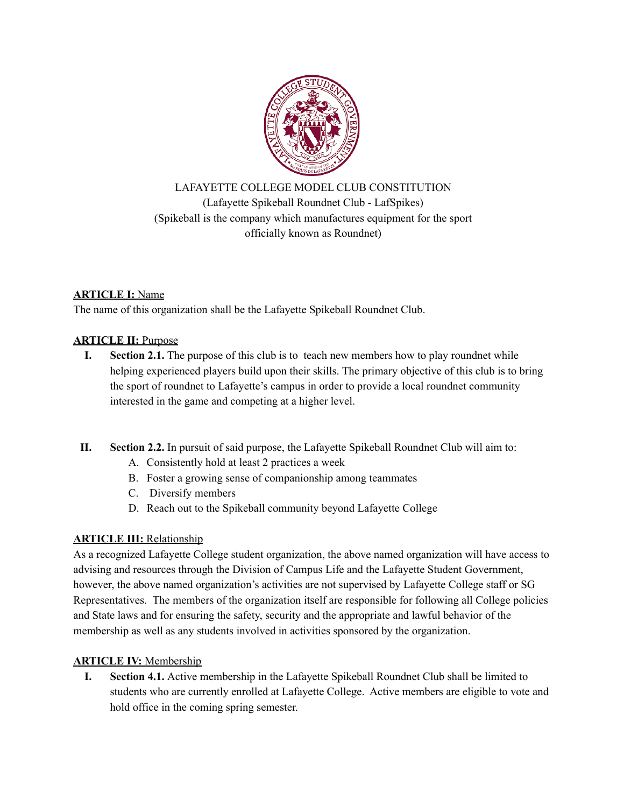

LAFAYETTE COLLEGE MODEL CLUB CONSTITUTION (Lafayette Spikeball Roundnet Club - LafSpikes) (Spikeball is the company which manufactures equipment for the sport officially known as Roundnet)

## **ARTICLE I:** Name

The name of this organization shall be the Lafayette Spikeball Roundnet Club.

# **ARTICLE II:** Purpose

- **I. Section 2.1.** The purpose of this club is to teach new members how to play roundnet while helping experienced players build upon their skills. The primary objective of this club is to bring the sport of roundnet to Lafayette's campus in order to provide a local roundnet community interested in the game and competing at a higher level.
- **II. Section 2.2.** In pursuit of said purpose, the Lafayette Spikeball Roundnet Club will aim to:
	- A. Consistently hold at least 2 practices a week
	- B. Foster a growing sense of companionship among teammates
	- C. Diversify members
	- D. Reach out to the Spikeball community beyond Lafayette College

## **ARTICLE III:** Relationship

As a recognized Lafayette College student organization, the above named organization will have access to advising and resources through the Division of Campus Life and the Lafayette Student Government, however, the above named organization's activities are not supervised by Lafayette College staff or SG Representatives. The members of the organization itself are responsible for following all College policies and State laws and for ensuring the safety, security and the appropriate and lawful behavior of the membership as well as any students involved in activities sponsored by the organization.

## **ARTICLE IV:** Membership

**I. Section 4.1.** Active membership in the Lafayette Spikeball Roundnet Club shall be limited to students who are currently enrolled at Lafayette College. Active members are eligible to vote and hold office in the coming spring semester.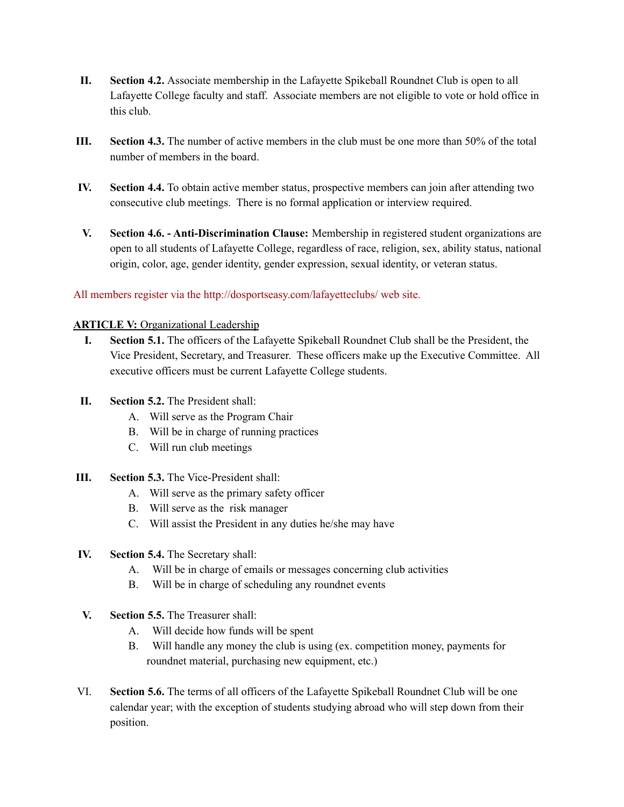- **II. Section 4.2.** Associate membership in the Lafayette Spikeball Roundnet Club is open to all Lafayette College faculty and staff. Associate members are not eligible to vote or hold office in this club.
- **III. Section 4.3.** The number of active members in the club must be one more than 50% of the total number of members in the board.
- **IV. Section 4.4.** To obtain active member status, prospective members can join after attending two consecutive club meetings. There is no formal application or interview required.
- **V. Section 4.6. - Anti-Discrimination Clause:** Membership in registered student organizations are open to all students of Lafayette College, regardless of race, religion, sex, ability status, national origin, color, age, gender identity, gender expression, sexual identity, or veteran status.

### All members register via the http://dosportseasy.com/lafayetteclubs/ web site.

### **ARTICLE V:** Organizational Leadership

- **I. Section 5.1.** The officers of the Lafayette Spikeball Roundnet Club shall be the President, the Vice President, Secretary, and Treasurer. These officers make up the Executive Committee. All executive officers must be current Lafayette College students.
- **II. Section 5.2.** The President shall:
	- A. Will serve as the Program Chair
	- B. Will be in charge of running practices
	- C. Will run club meetings
- **III. Section 5.3.** The Vice-President shall:
	- A. Will serve as the primary safety officer
	- B. Will serve as the risk manager
	- C. Will assist the President in any duties he/she may have
- **IV. Section 5.4.** The Secretary shall:
	- A. Will be in charge of emails or messages concerning club activities
	- B. Will be in charge of scheduling any roundnet events
- **V. Section 5.5.** The Treasurer shall:
	- A. Will decide how funds will be spent
	- B. Will handle any money the club is using (ex. competition money, payments for roundnet material, purchasing new equipment, etc.)
- VI. **Section 5.6.** The terms of all officers of the Lafayette Spikeball Roundnet Club will be one calendar year; with the exception of students studying abroad who will step down from their position.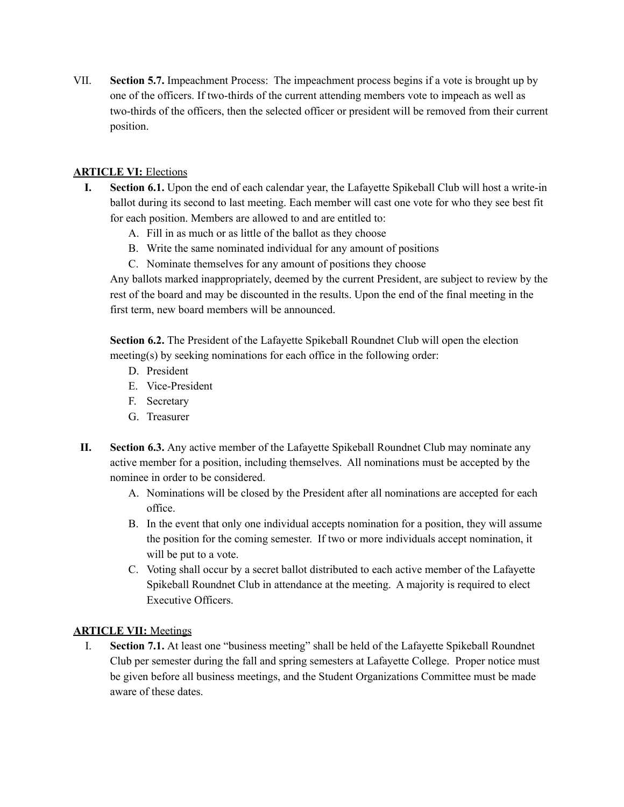VII. **Section 5.7.** Impeachment Process: The impeachment process begins if a vote is brought up by one of the officers. If two-thirds of the current attending members vote to impeach as well as two-thirds of the officers, then the selected officer or president will be removed from their current position.

### **ARTICLE VI:** Elections

- **I. Section 6.1.** Upon the end of each calendar year, the Lafayette Spikeball Club will host a write-in ballot during its second to last meeting. Each member will cast one vote for who they see best fit for each position. Members are allowed to and are entitled to:
	- A. Fill in as much or as little of the ballot as they choose
	- B. Write the same nominated individual for any amount of positions
	- C. Nominate themselves for any amount of positions they choose

Any ballots marked inappropriately, deemed by the current President, are subject to review by the rest of the board and may be discounted in the results. Upon the end of the final meeting in the first term, new board members will be announced.

**Section 6.2.** The President of the Lafayette Spikeball Roundnet Club will open the election meeting(s) by seeking nominations for each office in the following order:

- D. President
- E. Vice-President
- F. Secretary
- G. Treasurer
- **II. Section 6.3.** Any active member of the Lafayette Spikeball Roundnet Club may nominate any active member for a position, including themselves. All nominations must be accepted by the nominee in order to be considered.
	- A. Nominations will be closed by the President after all nominations are accepted for each office.
	- B. In the event that only one individual accepts nomination for a position, they will assume the position for the coming semester. If two or more individuals accept nomination, it will be put to a vote.
	- C. Voting shall occur by a secret ballot distributed to each active member of the Lafayette Spikeball Roundnet Club in attendance at the meeting. A majority is required to elect Executive Officers.

### **ARTICLE VII:** Meetings

I. **Section 7.1.** At least one "business meeting" shall be held of the Lafayette Spikeball Roundnet Club per semester during the fall and spring semesters at Lafayette College. Proper notice must be given before all business meetings, and the Student Organizations Committee must be made aware of these dates